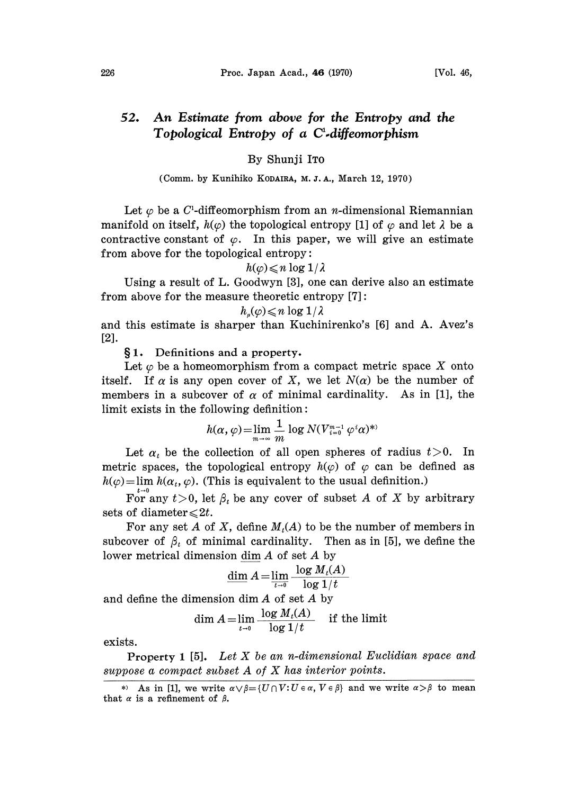#### An Estimate from above for the Entropy and the 52. Topological Entropy of a  $C^1$ -diffeomorphism

# By Shunji IT0

#### (Comm. by Kunihiko KODAIRA, M. J. A., March 12, 1970)

Let  $\varphi$  be a C<sup>1</sup>-diffeomorphism from an *n*-dimensional Riemannian manifold on itself,  $h(\varphi)$  the topological entropy [1] of  $\varphi$  and let  $\lambda$  be a contractive constant of  $\varphi$ . In this paper, we will give an estimate from above for the topological entropy:

## $h(\varphi) \leq n \log 1/\lambda$

Using a result of L. Goodwyn [3], one can derive also an estimate from above for the measure theoretic entropy [7]:

### $h_n(\varphi) \leq n \log 1/\lambda$

and this estimate is sharper than Kuchinirenko's [6] and A. Avez's [2].

1. Definitions and a property.

Let  $\varphi$  be a homeomorphism from a compact metric space X onto itself. If  $\alpha$  is any open cover of X, we let  $N(\alpha)$  be the number of members in a subcover of  $\alpha$  of minimal cardinality. As in [1], the  $limit$  exists in the following definition:

$$
h(\alpha,\varphi) = \lim_{m \to \infty} \frac{1}{m} \log N(V_{i=0}^{m-1} \varphi^i \alpha)^{*}
$$

Let  $\alpha_t$  be the collection of all open spheres of radius  $t>0$ . In metric spaces, the topological entropy  $h(\varphi)$  of  $\varphi$  can be defined as  $h(\varphi) = \lim h(\alpha_t, \varphi)$ . (This is equivalent to the usual definition.)

For any  $t>0$ , let  $\beta_t$  be any cover of subset A of X by arbitrary sets of diameter  $\leq 2t$ .

For any set A of X, define  $M_t(A)$  to be the number of members in subcover of  $\beta_t$  of minimal cardinality. Then as in [5], we define the lower metrical dimension dim A of set A by

$$
\underline{\dim} A = \lim_{t \to 0} \frac{\log M_t(A)}{\log 1/t}
$$

and define the dimension dim  $A$  of set  $A$  by

$$
\dim A = \lim_{t \to 0} \frac{\log M_t(A)}{\log 1/t}
$$
 if the limit

exists.

Property 1 [5]. Let  $X$  be an n-dimensional Euclidian space and suppose <sup>a</sup> compact subset A of X has interior points.

<sup>\*)</sup> As in [1], we write  $\alpha \vee \beta = \{U \cap V : U \in \alpha, V \in \beta\}$  and we write  $\alpha > \beta$  to mean that  $\alpha$  is a refinement of  $\beta$ .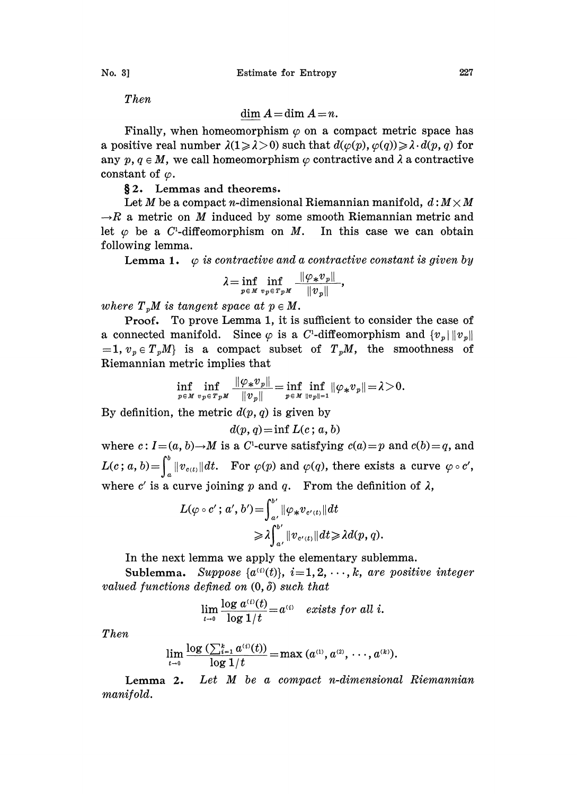Then

$$
\dim A = \dim A = n.
$$

Finally, when homeomorphism  $\varphi$  on a compact metric space has a positive real number  $\lambda(1 \geq \lambda > 0)$  such that  $d(\varphi(p), \varphi(q)) \geq \lambda \cdot d(p, q)$  for any  $p, q \in M$ , we call homeomorphism  $\varphi$  contractive and  $\lambda$  a contractive constant of  $\varphi$ .

2. Lemmas and theorems.

Let M be a compact n-dimensional Riemannian manifold,  $d: M \times M$  $\rightarrow R$  a metric on M induced by some smooth Riemannian metric and let  $\varphi$  be a C<sup>1</sup>-diffeomorphism on M. In this case we can obtain following lemma.

**Lemma 1.**  $\varphi$  is contractive and a contractive constant is given by

$$
\lambda\!=\!\inf_{p\,\in\,M}\inf_{v_{\,p}\in\,T_{\,p}\,M}}\frac{\|\varphi_*{v}_{\,p}\|}{\|\varphi_{\,p}\|},
$$

where  $T_nM$  is tangent space at  $p \in M$ .

Proof. To prove Lemma 1, it is sufficient to consider the case of a connected manifold. Since  $\varphi$  is a C<sup>1</sup>-diffeomorphism and  $\{v_n\}||v_n||$  $=1, v_p \in T_pM$  is a compact subset of  $T_pM$ , the smoothness of Riemannian metric implies that

$$
\inf_{p\in M}\inf_{v_p\in T_pM}\frac{\|\varphi_*v_p\|}{\|v_p\|}=\inf_{p\in M}\inf_{\|v_p\|=1}\|\varphi_*v_p\|\!=\!\lambda\!>\!0.
$$

By definition, the metric  $d(p, q)$  is given by

 $d(p, q) = \inf L(c; a, b)$ 

where  $c: I=(a, b) \rightarrow M$  is a C<sup>1</sup>-curve satisfying  $c(a)=p$  and  $c(b)=q$ , and  $L(c; a, b) = \int_a^b ||v_{c(t)}|| dt$ . For  $\varphi(p)$  and  $\varphi(q)$ , there exists a curve  $\varphi \circ c'$ , where c' is a curve joining p and q. From the definition of  $\lambda$ ,

$$
L(\varphi \circ c'; a', b') = \int_{a'}^{b'} \|\varphi_* v_{c'(t)}\| dt
$$
  

$$
\geq \lambda \int_{a'}^{b'} \|v_{c'(t)}\| dt \geq \lambda d(p, q).
$$

In the next lemma we apply the elementary sublemma.

Sublemma. Suppose  $\{a^{(i)}(t)\}, i=1, 2, \dots, k$ , are positive integer valued functions defined on  $(0, \delta)$  such that

$$
\lim_{t\to 0}\frac{\log a^{(t)}(t)}{\log 1/t}=a^{(t)}\quad exists \ for \ all \ i.
$$

Then

$$
\lim_{t \to 0} \frac{\log \left( \sum_{i=1}^{k} a^{(i)}(t) \right)}{\log 1/t} = \max \left( a^{(1)}, a^{(2)}, \dots, a^{(k)} \right).
$$

Lemma 2. Let M be a compact n-dimensional Riemannian manifold.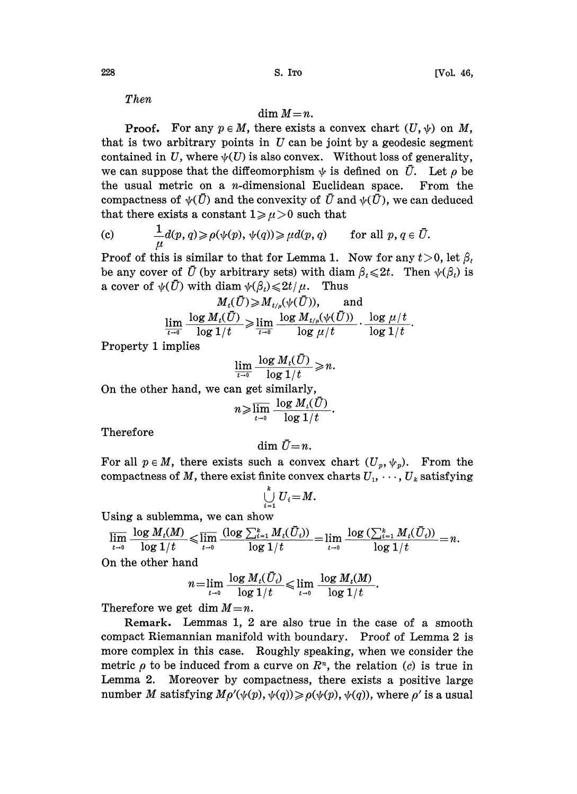Then

# $\dim M=n$ .

**Proof.** For any  $p \in M$ , there exists a convex chart  $(U, \psi)$  on M, that is two arbitrary points in  $U$  can be joint by a geodesic segment contained in U, where  $\psi(U)$  is also convex. Without loss of generality, we can suppose that the diffeomorphism  $\psi$  is defined on  $\bar{U}$ . Let  $\rho$  be the usual metric on a *n*-dimensional Euclidean space. From the compactness of  $\psi(\bar{U})$  and the convexity of  $\bar{U}$  and  $\psi(\bar{U})$ , we can deduced that there exists a constant  $1 \ge \mu > 0$  such that

(c) 
$$
\frac{1}{\mu}d(p,q) \geqslant \rho(\psi(p), \psi(q)) \geqslant \mu d(p,q)
$$
 for all  $p, q \in \overline{U}$ .

Proof of this is similar to that for Lemma 1. Now for any  $t > 0$ , let  $\beta_t$ be any cover of  $\bar{U}$  (by arbitrary sets) with diam  $\beta_i \leq 2t$ . Then  $\psi(\beta_i)$  is a cover of  $\psi(\bar{U})$  with diam  $\psi(\beta_t) \leq 2t/\mu$ . Thus

$$
M_t(U) \geqslant M_{t/\mu}(\psi(U)), \qquad \text{and}
$$
  

$$
\lim_{t \to 0} \frac{\log M_t(\bar{U})}{\log 1/t} \geqslant \lim_{t \to 0} \frac{\log M_{t/\mu}(\psi(\bar{U}))}{\log \mu/t} \cdot \frac{\log \mu/t}{\log 1/t}.
$$

Property 1 implies

$$
\lim_{t\to 0}\frac{\log M_t(\bar{U})}{\log 1/t}\geqslant n.
$$

On the other hand, we can get similarly,

$$
n\!\geqslant\!\overline{\lim_{t\to 0}}\,\frac{\log M_{\iota}(\bar{U})}{\log 1/t}.
$$

Therefore

$$
\dim \,\bar{U}\!=\!n.
$$

For all  $p \in M$ , there exists such a convex chart  $(U_p, \psi_p)$ . From the compactness of M, there exist finite convex charts  $U_1, \dots, U_k$  satisfying

$$
\bigcup_{i=1}^k U_i = M.
$$

Using a sublemma, we can show

$$
\overline{\lim\limits_{t\to 0}}\ \frac{\log\,M_t(M)}{\log1/t}\leqslant \overline{\lim\limits_{t\to 0}}\ \frac{(\log\,\sum_{i=1}^k M_t(\bar U_i))}{\log1/t}=\lim\limits_{t\to 0}\ \frac{\log\,(\sum_{i=1}^k M_t(\bar U_i))}{\log1/t}=n.
$$

On the other hand

$$
n = \lim_{t \to 0} \frac{\log M_t(\bar{U}_t)}{\log 1/t} \leq \lim_{t \to 0} \frac{\log M_t(M)}{\log 1/t}.
$$

Therefore we get dim  $M=n$ .

Remark. Lemmas 1, 2 are also true in the case of a smooth compact Riemannian manifold with boundary. Proof of Lemma 2 is more complex in this case. Roughly speaking, when we consider the metric  $\rho$  to be induced from a curve on  $\mathbb{R}^n$ , the relation (c) is true in Lemma 2. Moreover by compactness, there exists a positive large number M satisfying  $M\rho'(\psi(p), \psi(q)) \geq \rho(\psi(p), \psi(q))$ , where  $\rho'$  is a usual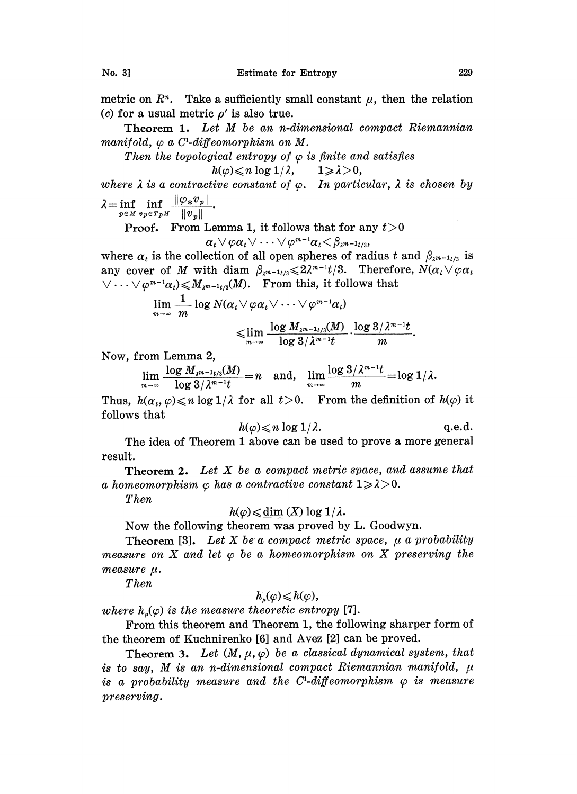metric on  $\mathbb{R}^n$ . Take a sufficiently small constant  $\mu$ , then the relation (c) for a usual metric  $\rho'$  is also true.

Theorem 1. Let M be an n-dimensional compact Riemannian manifold,  $\varphi$  a C<sup>1</sup>-diffeomorphism on M.

Then the topological entropy of  $\varphi$  is finite and satisfies

$$
h(\varphi) \leqslant n \log 1/\lambda, \qquad 1 \geqslant \lambda > 0,
$$

where  $\lambda$  is a contractive constant of  $\varphi$ . In particular,  $\lambda$  is chosen by  $\lambda = \inf_{p \in M} \inf_{v_p \in T_pM} \frac{\|\varphi_* v_p\|}{\|v_p\|}.$ 

**Proof.** From Lemma 1, it follows that for any  $t > 0$ 

$$
\alpha_t\vee\varphi\alpha_t\vee\cdots\vee\varphi^{m-1}\alpha_t\!<\!\beta_{\lambda^{m-1}t/3},
$$

where  $\alpha_t$  is the collection of all open spheres of radius t and  $\beta_{\lambda^{m-1}t/3}$  is any cover of M with diam  $\beta_{\lambda^{m-1}t/3} \leq 2\lambda^{m-1}t/3$ . Therefore,  $N(\alpha_t \vee \varphi \alpha_t)$  $\vee \cdots \vee \varphi^{m-1}\alpha_i) \leqslant M_{\lambda^{m-1}t/3}(M).$  From this, it follows that

$$
\lim_{m\to\infty}\frac{1}{m}\log N(\alpha_i\vee\varphi\alpha_i\vee\cdots\vee\varphi^{m-1}\alpha_i)\leqslant\lim_{m\to\infty}\frac{\log M_{\lambda^{m-1}t/3}(M)}{\log 3/\lambda^{m-1}t}\cdot\frac{\log 3/\lambda^{m-1}t}{m}.
$$

Now, from Lemma 2,

 $\lim \frac{\log M_{\lambda^{m-1} t/3}(M)}{\log \lambda^{m-1} t} = n$  and,  $\lim \frac{\log 3/\lambda^{m-1} t}{\log \lambda^{m-1} t} = \log 1/\lambda$ .

Thus,  $h(\alpha_t, \varphi) \le n \log 1/\lambda$  for all  $t > 0$ . From the definition of  $h(\varphi)$  it follows that

$$
h(\varphi) \leqslant n \log 1/\lambda.
$$
 q.e.d.

The idea of Theorem <sup>1</sup> above can be used to prove a more general result.

**Theorem 2.** Let  $X$  be a compact metric space, and assume that a homeomorphism  $\varphi$  has a contractive constant  $1 \ge \lambda > 0$ .

Then

# $h(\varphi) \leq d$ im  $(X) \log 1/\lambda$ .

Now the following theorem was proved by L. Goodwyn.

**Theorem** [3]. Let X be a compact metric space,  $\mu$  a probability measure on X and let  $\varphi$  be a homeomorphism on X preserving the measure  $\mu$ .

Then

$$
h_{\mu}(\varphi)\leqslant h(\varphi),
$$

where  $h_u(\varphi)$  is the measure theoretic entropy [7].

From this theorem and Theorem 1, the following sharper form of the theorem of Kuchnirenko [6] and Avez [2] can be proved.

Theorem 3. Let  $(M, \mu, \varphi)$  be a classical dynamical system, that is to say, M is an n-dimensional compact Riemannian manifold,  $\mu$ is a probability measure and the C<sup>1</sup>-diffeomorphism  $\varphi$  is measure preserving.